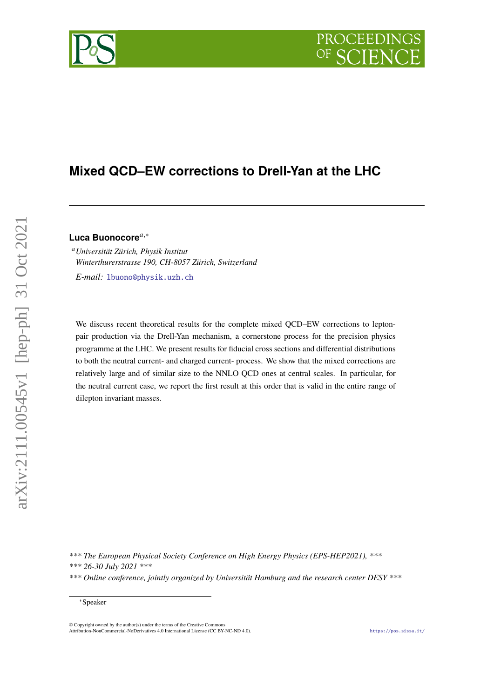# **Mixed QCD–EW corrections to Drell-Yan at the LHC**

# **Luca Buonocore**,<sup>∗</sup>

*Universität Zürich, Physik Institut Winterthurerstrasse 190, CH-8057 Zürich, Switzerland*

*E-mail:* [lbuono@physik.uzh.ch](mailto:lbuono@physik.uzh.ch)

We discuss recent theoretical results for the complete mixed QCD–EW corrections to leptonpair production via the Drell-Yan mechanism, a cornerstone process for the precision physics programme at the LHC. We present results for fiducial cross sections and differential distributions to both the neutral current- and charged current- process. We show that the mixed corrections are relatively large and of similar size to the NNLO QCD ones at central scales. In particular, for the neutral current case, we report the first result at this order that is valid in the entire range of dilepton invariant masses.

*\*\*\* The European Physical Society Conference on High Energy Physics (EPS-HEP2021), \*\*\* \*\*\* 26-30 July 2021 \*\*\**

*\*\*\* Online conference, jointly organized by Universität Hamburg and the research center DESY \*\*\**

© Copyright owned by the author(s) under the terms of the Creative Common Attribution-NonCommercial-NoDerivatives 4.0 International License (CC BY-NC-ND 4.0). <https://pos.sissa.it/>

**PROCEEDING** 



<sup>∗</sup>Speaker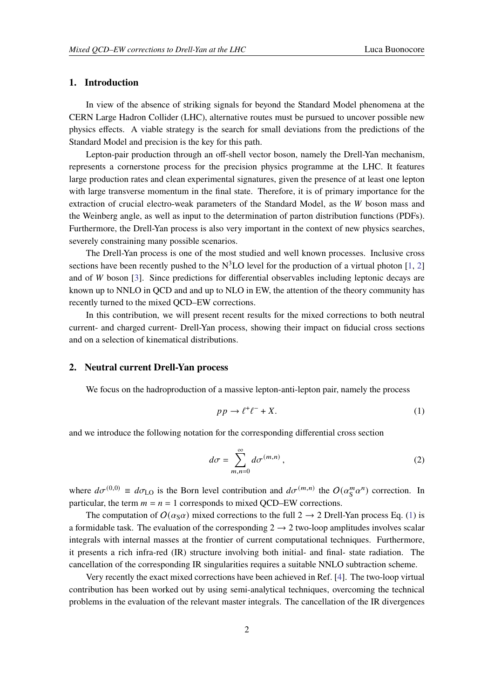# **1. Introduction**

In view of the absence of striking signals for beyond the Standard Model phenomena at the CERN Large Hadron Collider (LHC), alternative routes must be pursued to uncover possible new physics effects. A viable strategy is the search for small deviations from the predictions of the Standard Model and precision is the key for this path.

Lepton-pair production through an off-shell vector boson, namely the Drell-Yan mechanism, represents a cornerstone process for the precision physics programme at the LHC. It features large production rates and clean experimental signatures, given the presence of at least one lepton with large transverse momentum in the final state. Therefore, it is of primary importance for the extraction of crucial electro-weak parameters of the Standard Model, as the W boson mass and the Weinberg angle, as well as input to the determination of parton distribution functions (PDFs). Furthermore, the Drell-Yan process is also very important in the context of new physics searches, severely constraining many possible scenarios.

The Drell-Yan process is one of the most studied and well known processes. Inclusive cross sections have been recently pushed to the N<sup>3</sup>LO level for the production of a virtual photon [\[1,](#page-5-0) [2\]](#page-5-1) and of  $W$  boson [\[3\]](#page-5-2). Since predictions for differential observables including leptonic decays are known up to NNLO in QCD and and up to NLO in EW, the attention of the theory community has recently turned to the mixed QCD–EW corrections.

In this contribution, we will present recent results for the mixed corrections to both neutral current- and charged current- Drell-Yan process, showing their impact on fiducial cross sections and on a selection of kinematical distributions.

# **2. Neutral current Drell-Yan process**

We focus on the hadroproduction of a massive lepton-anti-lepton pair, namely the process

<span id="page-1-0"></span>
$$
pp \to \ell^+ \ell^- + X. \tag{1}
$$

and we introduce the following notation for the corresponding differential cross section

$$
d\sigma = \sum_{m,n=0}^{\infty} d\sigma^{(m,n)},
$$
\n(2)

where  $d\sigma^{(0,0)} \equiv d\sigma_{LO}$  is the Born level contribution and  $d\sigma^{(m,n)}$  the  $O(\alpha_S^m)$  $\int_{S}^{m} \alpha^{n}$ ) correction. In particular, the term  $m = n = 1$  corresponds to mixed QCD–EW corrections.

The computation of  $O(\alpha_s \alpha)$  mixed corrections to the full  $2 \rightarrow 2$  Drell-Yan process Eq. [\(1\)](#page-1-0) is a formidable task. The evaluation of the corresponding  $2 \rightarrow 2$  two-loop amplitudes involves scalar integrals with internal masses at the frontier of current computational techniques. Furthermore, it presents a rich infra-red (IR) structure involving both initial- and final- state radiation. The cancellation of the corresponding IR singularities requires a suitable NNLO subtraction scheme.

Very recently the exact mixed corrections have been achieved in Ref. [\[4\]](#page-5-3). The two-loop virtual contribution has been worked out by using semi-analytical techniques, overcoming the technical problems in the evaluation of the relevant master integrals. The cancellation of the IR divergences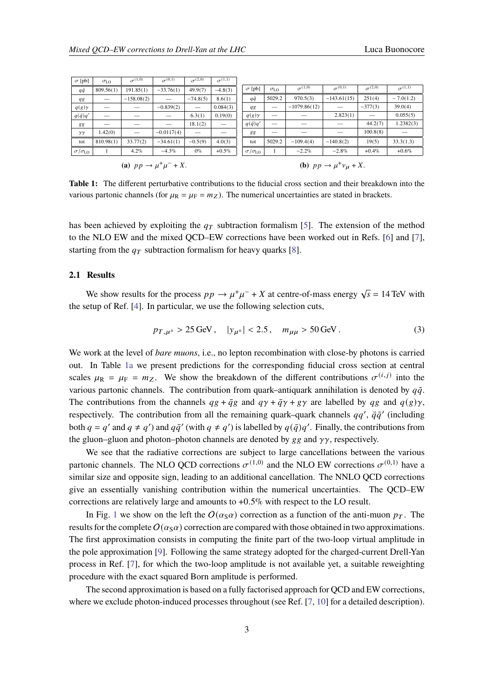<span id="page-2-0"></span>

| $\sigma$ [pb]                 | $\sigma_{LO}$ | $\sigma^{(1,0)}$ | $\sigma^{(0,1)}$ | $\sigma^{(2,0)}$ | $\sigma^{(1,1)}$ |  |                                                   |               |                  |                  |                          |                  |  |
|-------------------------------|---------------|------------------|------------------|------------------|------------------|--|---------------------------------------------------|---------------|------------------|------------------|--------------------------|------------------|--|
| $q\bar{q}$                    | 809.56(1)     | 191.85(1)        | $-33.76(1)$      | 49.9(7)          | $-4.8(3)$        |  | $\sigma$ [pb]                                     | $\sigma_{LO}$ | $\sigma^{(1,0)}$ | $\sigma^{(0,1)}$ | $\sigma^{(2,0)}$         | $\sigma^{(1,1)}$ |  |
| qg                            | _             | $-158.08(2)$     | -                | $-74.8(5)$       | 8.6(1)           |  | $q\bar{q}$                                        | 5029.2        | 970.5(3)         | $-143.61(15)$    | 251(4)                   | $-7.0(1.2)$      |  |
| $q(g)\gamma$                  |               |                  | $-0.839(2)$      | _                | 0.084(3)         |  | qg                                                | _             | $-1079.86(12)$   |                  | $-377(3)$                | 39.0(4)          |  |
| $q(\bar{q})q'$                | $-$           | $\sim$           | _                | 6.3(1)           | 0.19(0)          |  | $q(g)\gamma$                                      | _             |                  | 2.823(1)         | $\overline{\phantom{a}}$ | 0.055(5)         |  |
| 88                            |               |                  |                  | 18.1(2)          |                  |  | $q(\bar{q})q'$                                    | -             |                  |                  | 44.2(7)                  | 1.2382(3)        |  |
| $\gamma\gamma$                | 1.42(0)       | --               | $-0.0117(4)$     | _                |                  |  | 88                                                | _             |                  |                  | 100.8(8)                 |                  |  |
| tot                           | 810.98(1)     | 33.77(2)         | $-34.61(1)$      | $-0.5(9)$        | 4.0(3)           |  | tot                                               | 5029.2        | $-109.4(4)$      | $-140.8(2)$      | 19(5)                    | 33.3(1.3)        |  |
| $\sigma/\sigma_{\rm LO}$      |               | $4.2\%$          | $-4.3\%$         | $0\%$            | $+0.5\%$         |  | $\sigma/\sigma_{\rm LO}$                          |               | $-2.2\%$         | $-2.8\%$         | $+0.4\%$                 | $+0.6\%$         |  |
| (a) $pp \to \mu^+\mu^- + X$ . |               |                  |                  |                  |                  |  | ( <b>b</b> ) $pp \rightarrow \mu^+ \nu_\mu + X$ . |               |                  |                  |                          |                  |  |

**Table 1:** The different perturbative contributions to the fiducial cross section and their breakdown into the various partonic channels (for  $\mu_R = \mu_F = m_Z$ ). The numerical uncertainties are stated in brackets.

has been achieved by exploiting the  $q_T$  subtraction formalism [\[5\]](#page-5-4). The extension of the method to the NLO EW and the mixed QCD–EW corrections have been worked out in Refs. [\[6\]](#page-5-5) and [\[7\]](#page-5-6), starting from the  $q_T$  subtraction formalism for heavy quarks [\[8\]](#page-5-7).

### **2.1 Results**

We show results for the process  $pp \to \mu^+\mu^- + X$  at centre-of-mass energy  $\sqrt{s} = 14$  TeV with the setup of Ref. [\[4\]](#page-5-3). In particular, we use the following selection cuts,

$$
p_{T,\mu^{\pm}} > 25 \,\text{GeV}, \quad |y_{\mu^{\pm}}| < 2.5, \quad m_{\mu\mu} > 50 \,\text{GeV} \,. \tag{3}
$$

We work at the level of *bare muons*, i.e., no lepton recombination with close-by photons is carried out. In Table [1a](#page-2-0) we present predictions for the corresponding fiducial cross section at central scales  $\mu_R = \mu_F = m_Z$ . We show the breakdown of the different contributions  $\sigma^{(i,j)}$  into the various partonic channels. The contribution from quark–antiquark annihilation is denoted by  $q\bar{q}$ . The contributions from the channels  $qg + \bar{q}g$  and  $q\gamma + \bar{q}\gamma + g\gamma$  are labelled by qg and  $q(g)\gamma$ , respectively. The contribution from all the remaining quark–quark channels  $qq'$ ,  $\bar{q}\bar{q}'$  (including both  $q = q'$  and  $q \neq q'$ ) and  $q\bar{q}'$  (with  $q \neq q'$ ) is labelled by  $q(\bar{q})q'$ . Finally, the contributions from the gluon–gluon and photon–photon channels are denoted by  $gg$  and  $\gamma\gamma$ , respectively.

We see that the radiative corrections are subject to large cancellations between the various partonic channels. The NLO QCD corrections  $\sigma^{(1,0)}$  and the NLO EW corrections  $\sigma^{(0,1)}$  have a similar size and opposite sign, leading to an additional cancellation. The NNLO QCD corrections give an essentially vanishing contribution within the numerical uncertainties. The QCD–EW corrections are relatively large and amounts to +0.5% with respect to the LO result.

In Fig. [1](#page-3-0) we show on the left the  $O(\alpha_S \alpha)$  correction as a function of the anti-muon  $p_T$ . The results for the complete  $O(\alpha_S \alpha)$  correction are compared with those obtained in two approximations. The first approximation consists in computing the finite part of the two-loop virtual amplitude in the pole approximation [\[9\]](#page-5-8). Following the same strategy adopted for the charged-current Drell-Yan process in Ref. [\[7\]](#page-5-6), for which the two-loop amplitude is not available yet, a suitable reweighting procedure with the exact squared Born amplitude is performed.

The second approximation is based on a fully factorised approach for QCD and EW corrections, where we exclude photon-induced processes throughout (see Ref. [\[7,](#page-5-6) [10\]](#page-5-9) for a detailed description).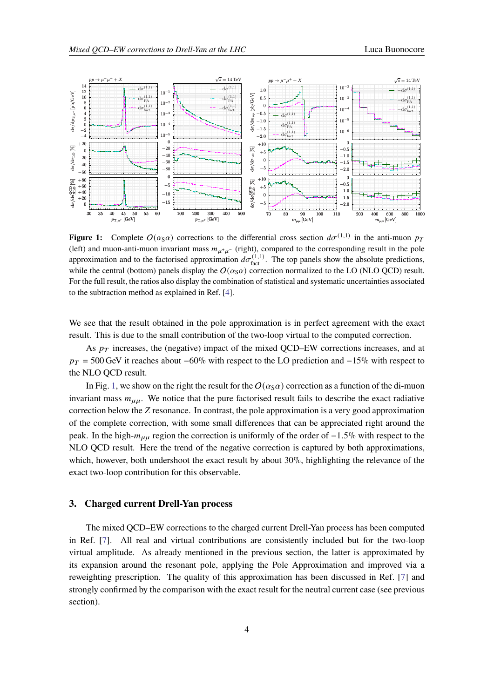<span id="page-3-0"></span>

**Figure 1:** Complete  $O(\alpha_S \alpha)$  corrections to the differential cross section  $d\sigma^{(1,1)}$  in the anti-muon  $p_1$ (left) and muon-anti-muon invariant mass  $m_{\mu^+\mu^-}$  (right), compared to the corresponding result in the pole approximation and to the factorised approximation  $d\sigma_{\text{fact}}^{(1,1)}$ . The top panels show the absolute predictions, while the central (bottom) panels display the  $O(\alpha_S \alpha)$  correction normalized to the LO (NLO QCD) result. For the full result, the ratios also display the combination of statistical and systematic uncertainties associated to the subtraction method as explained in Ref. [\[4\]](#page-5-3).

We see that the result obtained in the pole approximation is in perfect agreement with the exact result. This is due to the small contribution of the two-loop virtual to the computed correction.

As  $p_T$  increases, the (negative) impact of the mixed QCD–EW corrections increases, and at  $p_T = 500$  GeV it reaches about −60% with respect to the LO prediction and −15% with respect to the NLO QCD result.

In Fig. [1,](#page-3-0) we show on the right the result for the  $O(\alpha_s \alpha)$  correction as a function of the di-muon invariant mass  $m_{uu}$ . We notice that the pure factorised result fails to describe the exact radiative correction below the Z resonance. In contrast, the pole approximation is a very good approximation of the complete correction, with some small differences that can be appreciated right around the peak. In the high- $m_{\mu\mu}$  region the correction is uniformly of the order of  $-1.5\%$  with respect to the NLO QCD result. Here the trend of the negative correction is captured by both approximations, which, however, both undershoot the exact result by about 30%, highlighting the relevance of the exact two-loop contribution for this observable.

# **3. Charged current Drell-Yan process**

The mixed QCD–EW corrections to the charged current Drell-Yan process has been computed in Ref. [\[7\]](#page-5-6). All real and virtual contributions are consistently included but for the two-loop virtual amplitude. As already mentioned in the previous section, the latter is approximated by its expansion around the resonant pole, applying the Pole Approximation and improved via a reweighting prescription. The quality of this approximation has been discussed in Ref. [\[7\]](#page-5-6) and strongly confirmed by the comparison with the exact result for the neutral current case (see previous section).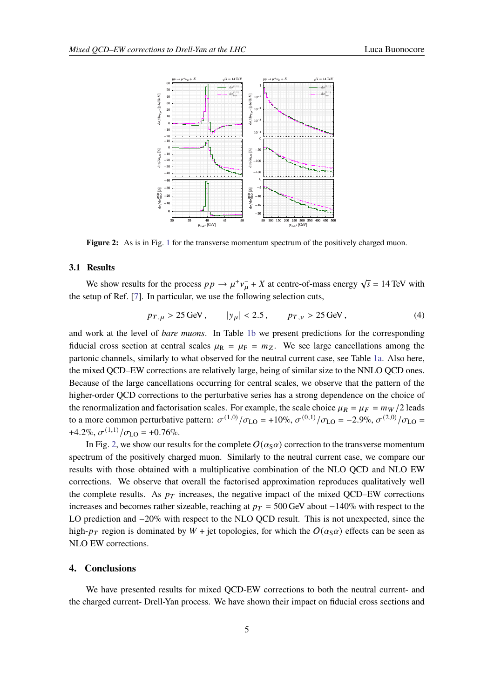<span id="page-4-0"></span>

**Figure 2:** As is in Fig. [1](#page-3-0) for the transverse momentum spectrum of the positively charged muon.

#### **3.1 Results**

We show results for the process  $pp \to \mu^+ v^-_\mu + X$  at centre-of-mass energy  $\sqrt{s} = 14$  TeV with the setup of Ref. [\[7\]](#page-5-6). In particular, we use the following selection cuts,

$$
p_{T,\mu} > 25 \,\text{GeV}, \qquad |y_{\mu}| < 2.5, \qquad p_{T,\nu} > 25 \,\text{GeV}, \tag{4}
$$

and work at the level of *bare muons*. In Table [1b](#page-2-0) we present predictions for the corresponding fiducial cross section at central scales  $\mu_R = \mu_F = m_Z$ . We see large cancellations among the partonic channels, similarly to what observed for the neutral current case, see Table [1a.](#page-2-0) Also here, the mixed QCD–EW corrections are relatively large, being of similar size to the NNLO QCD ones. Because of the large cancellations occurring for central scales, we observe that the pattern of the higher-order QCD corrections to the perturbative series has a strong dependence on the choice of the renormalization and factorisation scales. For example, the scale choice  $\mu_R = \mu_F = m_W/2$  leads to a more common perturbative pattern:  $\sigma^{(1,0)}/\sigma_{LO} = +10\%, \sigma^{(0,1)}/\sigma_{LO} = -2.9\%, \sigma^{(2,0)}/\sigma_{LO} =$  $+4.2\%, \sigma^{(1,1)}/\sigma_{LO} = +0.76\%.$ 

In Fig. [2,](#page-4-0) we show our results for the complete  $O(\alpha_s \alpha)$  correction to the transverse momentum spectrum of the positively charged muon. Similarly to the neutral current case, we compare our results with those obtained with a multiplicative combination of the NLO QCD and NLO EW corrections. We observe that overall the factorised approximation reproduces qualitatively well the complete results. As  $p_T$  increases, the negative impact of the mixed QCD–EW corrections increases and becomes rather sizeable, reaching at  $p_T = 500$  GeV about  $-140\%$  with respect to the LO prediction and −20% with respect to the NLO QCD result. This is not unexpected, since the high- $p_T$  region is dominated by  $W +$  jet topologies, for which the  $O(\alpha_S\alpha)$  effects can be seen as NLO EW corrections.

## **4. Conclusions**

We have presented results for mixed QCD-EW corrections to both the neutral current- and the charged current- Drell-Yan process. We have shown their impact on fiducial cross sections and